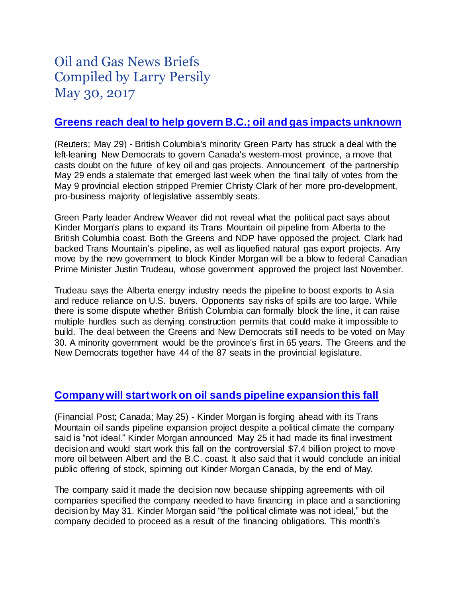# Oil and Gas News Briefs Compiled by Larry Persily May 30, 2017

### **Greens reach [deal to help govern B.C.; oil and gas impacts unknown](http://ca.reuters.com/article/domesticNews/idCAKBN18P212-OCADN)**

(Reuters; May 29) - British Columbia's minority Green Party has struck a deal with the left-leaning New Democrats to govern Canada's western-most province, a move that casts doubt on the future of key oil and gas projects. Announcement of the partnership May 29 ends a stalemate that emerged last week when the final tally of votes from the May 9 provincial election stripped Premier Christy Clark of her more pro-development, pro-business majority of legislative assembly seats.

Green Party leader Andrew Weaver did not reveal what the political pact says about Kinder Morgan's plans to expand its Trans Mountain oil pipeline from Alberta to the British Columbia coast. Both the Greens and NDP have opposed the project. Clark had backed Trans Mountain's pipeline, as well as liquefied natural gas export projects. Any move by the new government to block Kinder Morgan will be a blow to federal Canadian Prime Minister Justin Trudeau, whose government approved the project last November.

Trudeau says the Alberta energy industry needs the pipeline to boost exports to Asia and reduce reliance on U.S. buyers. Opponents say risks of spills are too large. While there is some dispute whether British Columbia can formally block the line, it can raise multiple hurdles such as denying construction permits that could make it impossible to build. The deal between the Greens and New Democrats still needs to be voted on May 30. A minority government would be the province's first in 65 years. The Greens and the New Democrats together have 44 of the 87 seats in the provincial legislature.

# **[Company will start work on oil sands pipeline expansion this fall](http://www.calgaryherald.com/kinder+morgan+aims+start+trans+mountain+expansion+fall+despite+ideal+political/13397261/story.html)**

(Financial Post; Canada; May 25) - Kinder Morgan is forging ahead with its Trans Mountain oil sands pipeline expansion project despite a political climate the company said is "not ideal." Kinder Morgan announced May 25 it had made its final investment decision and would start work this fall on the controversial \$7.4 billion project to move more oil between Albert and the B.C. coast. It also said that it would conclude an initial public offering of stock, spinning out Kinder Morgan Canada, by the end of May.

The company said it made the decision now because shipping agreements with oil companies specified the company needed to have financing in place and a sanctioning decision by May 31. Kinder Morgan said "the political climate was not ideal," but the company decided to proceed as a result of the financing obligations. This month's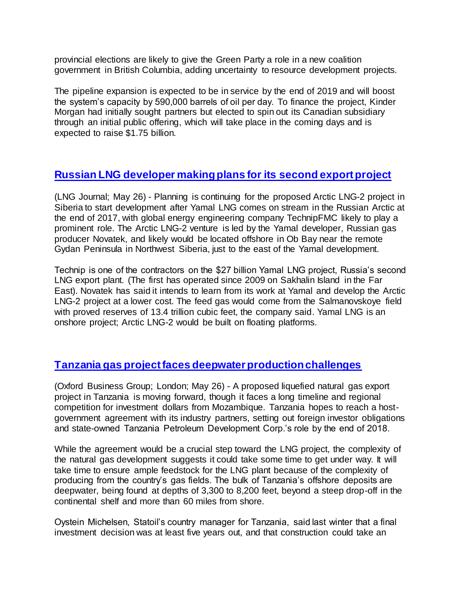provincial elections are likely to give the Green Party a role in a new coalition government in British Columbia, adding uncertainty to resource development projects.

The pipeline expansion is expected to be in service by the end of 2019 and will boost the system's capacity by 590,000 barrels of oil per day. To finance the project, Kinder Morgan had initially sought partners but elected to spin out its Canadian subsidiary through an initial public offering, which will take place in the coming days and is expected to raise \$1.75 billion.

#### **[Russian LNG developer making plans for its second export project](https://www.lngjournal.com/index.php/latest-news-mainmenu-47/item/91665-russian-arctic-lng-project-to-follow-yamal-venture-will-cost-half-as-much-with-platform-design)**

(LNG Journal; May 26) - Planning is continuing for the proposed Arctic LNG-2 project in Siberia to start development after Yamal LNG comes on stream in the Russian Arctic at the end of 2017, with global energy engineering company TechnipFMC likely to play a prominent role. The Arctic LNG-2 venture is led by the Yamal developer, Russian gas producer Novatek, and likely would be located offshore in Ob Bay near the remote Gydan Peninsula in Northwest Siberia, just to the east of the Yamal development.

Technip is one of the contractors on the \$27 billion Yamal LNG project, Russia's second LNG export plant. (The first has operated since 2009 on Sakhalin Island in the Far East). Novatek has said it intends to learn from its work at Yamal and develop the Arctic LNG-2 project at a lower cost. The feed gas would come from the Salmanovskoye field with proved reserves of 13.4 trillion cubic feet, the company said. Yamal LNG is an onshore project; Arctic LNG-2 would be built on floating platforms.

# **[Tanzania gas project faces deepwater production challenges](http://www.oxfordbusinessgroup.com/news/tanzania-pushes-develop-its-natural-gas-industry)**

(Oxford Business Group; London; May 26) - A proposed liquefied natural gas export project in Tanzania is moving forward, though it faces a long timeline and regional competition for investment dollars from Mozambique. Tanzania hopes to reach a hostgovernment agreement with its industry partners, setting out foreign investor obligations and state-owned Tanzania Petroleum Development Corp.'s role by the end of 2018.

While the agreement would be a crucial step toward the LNG project, the complexity of the natural gas development suggests it could take some time to get under way. It will take time to ensure ample feedstock for the LNG plant because of the complexity of producing from the country's gas fields. The bulk of Tanzania's offshore deposits are deepwater, being found at depths of 3,300 to 8,200 feet, beyond a steep drop-off in the continental shelf and more than 60 miles from shore.

Oystein Michelsen, Statoil's country manager for Tanzania, said last winter that a final investment decision was at least five years out, and that construction could take an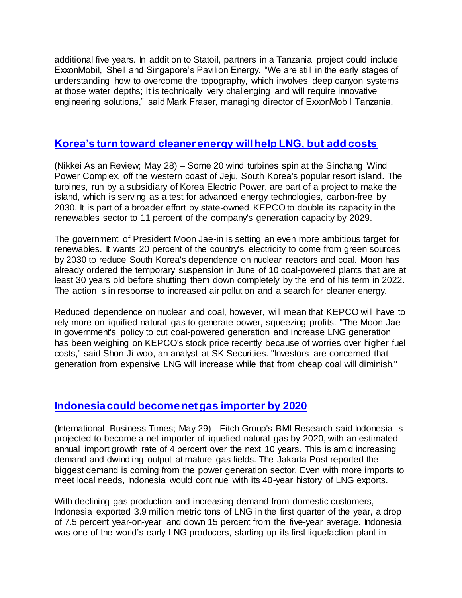additional five years. In addition to Statoil, partners in a Tanzania project could include ExxonMobil, Shell and Singapore's Pavilion Energy. "We are still in the early stages of understanding how to overcome the topography, which involves deep canyon systems at those water depths; it is technically very challenging and will require innovative engineering solutions," said Mark Fraser, managing director of ExxonMobil Tanzania.

#### **[Korea's turn toward cleaner energy will help LNG, but add costs](http://asia.nikkei.com/Business/AC/South-Korea-s-new-energy-plan-puts-pressure-on-KEPCO)**

(Nikkei Asian Review; May 28) – Some 20 wind turbines spin at the Sinchang Wind Power Complex, off the western coast of Jeju, South Korea's popular resort island. The turbines, run by a subsidiary of Korea Electric Power, are part of a project to make the island, which is serving as a test for advanced energy technologies, carbon-free by 2030. It is part of a broader effort by state-owned KEPCO to double its capacity in the renewables sector to 11 percent of the company's generation capacity by 2029.

The government of President Moon Jae-in is setting an even more ambitious target for renewables. It wants 20 percent of the country's electricity to come from green sources by 2030 to reduce South Korea's dependence on nuclear reactors and coal. Moon has already ordered the temporary suspension in June of 10 coal-powered plants that are at least 30 years old before shutting them down completely by the end of his term in 2022. The action is in response to increased air pollution and a search for cleaner energy.

Reduced dependence on nuclear and coal, however, will mean that KEPCO will have to rely more on liquified natural gas to generate power, squeezing profits. "The Moon Jaein government's policy to cut coal-powered generation and increase LNG generation has been weighing on KEPCO's stock price recently because of worries over higher fuel costs," said Shon Ji-woo, an analyst at SK Securities. "Investors are concerned that generation from expensive LNG will increase while that from cheap coal will diminish."

#### **[Indonesia could become net gas importer by 2020](http://www.ibtimes.sg/indonesia-become-lng-net-importer-by-2020-10650)**

(International Business Times; May 29) - Fitch Group's BMI Research said Indonesia is projected to become a net importer of liquefied natural gas by 2020, with an estimated annual import growth rate of 4 percent over the next 10 years. This is amid increasing demand and dwindling output at mature gas fields. The Jakarta Post reported the biggest demand is coming from the power generation sector. Even with more imports to meet local needs, Indonesia would continue with its 40-year history of LNG exports.

With declining gas production and increasing demand from domestic customers, Indonesia exported 3.9 million metric tons of LNG in the first quarter of the year, a drop of 7.5 percent year-on-year and down 15 percent from the five-year average. Indonesia was one of the world's early LNG producers, starting up its first liquefaction plant in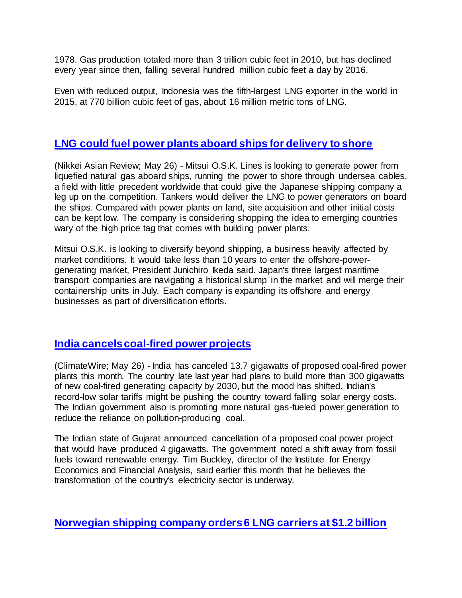1978. Gas production totaled more than 3 trillion cubic feet in 2010, but has declined every year since then, falling several hundred million cubic feet a day by 2016.

Even with reduced output, Indonesia was the fifth-largest LNG exporter in the world in 2015, at 770 billion cubic feet of gas, about 16 million metric tons of LNG.

#### **[LNG could fuel power plants aboard ships for delivery to shore](http://asia.nikkei.com/Business/Companies/Japan-s-Mitsui-OSK-exploring-LNG-power-generation-on-ships)**

(Nikkei Asian Review; May 26) - Mitsui O.S.K. Lines is looking to generate power from liquefied natural gas aboard ships, running the power to shore through undersea cables, a field with little precedent worldwide that could give the Japanese shipping company a leg up on the competition. Tankers would deliver the LNG to power generators on board the ships. Compared with power plants on land, site acquisition and other initial costs can be kept low. The company is considering shopping the idea to emerging countries wary of the high price tag that comes with building power plants.

Mitsui O.S.K. is looking to diversify beyond shipping, a business heavily affected by market conditions. It would take less than 10 years to enter the offshore-powergenerating market, President Junichiro Ikeda said. Japan's three largest maritime transport companies are navigating a historical slump in the market and will merge their containership units in July. Each company is expanding its offshore and energy businesses as part of diversification efforts.

# **[India cancels coal-fired](https://www.eenews.net/climatewire/2017/05/26/stories/1060055184) power projects**

(ClimateWire; May 26) - India has canceled 13.7 gigawatts of proposed coal-fired power plants this month. The country late last year had plans to build more than 300 gigawatts of new coal-fired generating capacity by 2030, but the mood has shifted. Indian's record-low solar tariffs might be pushing the country toward falling solar energy costs. The Indian government also is promoting more natural gas-fueled power generation to reduce the reliance on pollution-producing coal.

The Indian state of Gujarat announced cancellation of a proposed coal power project that would have produced 4 gigawatts. The government noted a shift away from fossil fuels toward renewable energy. Tim Buckley, director of the Institute for Energy Economics and Financial Analysis, said earlier this month that he believes the transformation of the country's electricity sector is underway.

**[Norwegian shipping company orders 6 LNG carriers at \\$1.2 billion](http://af.reuters.com/article/commoditiesNews/idAFL8N1IS3CB?sp=true)**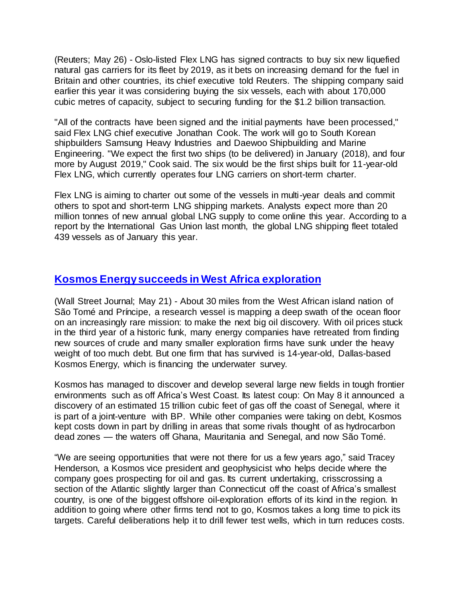(Reuters; May 26) - Oslo-listed Flex LNG has signed contracts to buy six new liquefied natural gas carriers for its fleet by 2019, as it bets on increasing demand for the fuel in Britain and other countries, its chief executive told Reuters. The shipping company said earlier this year it was considering buying the six vessels, each with about 170,000 cubic metres of capacity, subject to securing funding for the \$1.2 billion transaction.

"All of the contracts have been signed and the initial payments have been processed," said Flex LNG chief executive Jonathan Cook. The work will go to South Korean shipbuilders Samsung Heavy Industries and Daewoo Shipbuilding and Marine Engineering. "We expect the first two ships (to be delivered) in January (2018), and four more by August 2019," Cook said. The six would be the first ships built for 11-year-old Flex LNG, which currently operates four LNG carriers on short-term charter.

Flex LNG is aiming to charter out some of the vessels in multi-year deals and commit others to spot and short-term LNG shipping markets. Analysts expect more than 20 million tonnes of new annual global LNG supply to come online this year. According to a report by the International Gas Union last month, the global LNG shipping fleet totaled 439 vessels as of January this year.

#### **Kosmos [Energysucceeds](https://www.wsj.com/articles/search-for-oil-yields-a-new-business-model-1495418761) in West Africa exploration**

(Wall Street Journal; May 21) - About 30 miles from the West African island nation of São Tomé and Príncipe, a research vessel is mapping a deep swath of the ocean floor on an increasingly rare mission: to make the next big oil discovery. With oil prices stuck in the third year of a historic funk, many energy companies have retreated from finding new sources of crude and many smaller exploration firms have sunk under the heavy weight of too much debt. But one firm that has survived is 14-year-old, Dallas-based Kosmos Energy, which is financing the underwater survey.

Kosmos has managed to discover and develop several large new fields in tough frontier environments such as off Africa's West Coast. Its latest coup: On May 8 it announced a discovery of an estimated 15 trillion cubic feet of gas off the coast of Senegal, where it is part of a joint-venture with BP. While other companies were taking on debt, Kosmos kept costs down in part by drilling in areas that some rivals thought of as hydrocarbon dead zones — the waters off Ghana, Mauritania and Senegal, and now São Tomé.

"We are seeing opportunities that were not there for us a few years ago," said Tracey Henderson, a Kosmos vice president and geophysicist who helps decide where the company goes prospecting for oil and gas. Its current undertaking, crisscrossing a section of the Atlantic slightly larger than Connecticut off the coast of Africa's smallest country, is one of the biggest offshore oil-exploration efforts of its kind in the region. In addition to going where other firms tend not to go, Kosmos takes a long time to pick its targets. Careful deliberations help it to drill fewer test wells, which in turn reduces costs.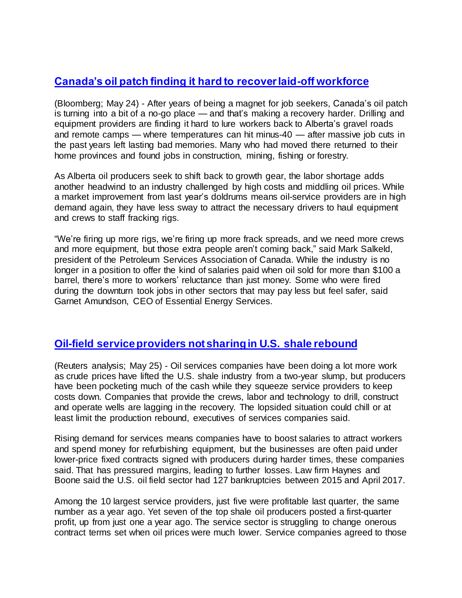# **[Canada's oil patch finding it hard to recover laid-off workforce](https://www.bloomberg.com/news/articles/2017-05-24/job-mecca-no-more-canada-oil-patch-strains-for-hands-in-rebound)**

(Bloomberg; May 24) - After years of being a magnet for job seekers, Canada's oil patch is turning into a bit of a no-go place — and that's making a recovery harder. Drilling and equipment providers are finding it hard to lure workers back to Alberta's gravel roads and remote camps — where temperatures can hit minus-40 — after massive job cuts in the past years left lasting bad memories. Many who had moved there returned to their home provinces and found jobs in construction, mining, fishing or forestry.

As Alberta oil producers seek to shift back to growth gear, the labor shortage adds another headwind to an industry challenged by high costs and middling oil prices. While a market improvement from last year's doldrums means oil-service providers are in high demand again, they have less sway to attract the necessary drivers to haul equipment and crews to staff fracking rigs.

"We're firing up more rigs, we're firing up more frack spreads, and we need more crews and more equipment, but those extra people aren't coming back," said Mark Salkeld, president of the Petroleum Services Association of Canada. While the industry is no longer in a position to offer the kind of salaries paid when oil sold for more than \$100 a barrel, there's more to workers' reluctance than just money. Some who were fired during the downturn took jobs in other sectors that may pay less but feel safer, said Garnet Amundson, CEO of Essential Energy Services.

# **[Oil-field service providers not sharing in U.S. shale rebound](https://www.reuters.com/article/us-shale-oilservices-cost-analysis-idUSKBN18L0H5)**

(Reuters analysis; May 25) - Oil services companies have been doing a lot more work as crude prices have lifted the U.S. shale industry from a two-year slump, but producers have been pocketing much of the cash while they squeeze service providers to keep costs down. Companies that provide the crews, labor and technology to drill, construct and operate wells are lagging in the recovery. The lopsided situation could chill or at least limit the production rebound, executives of services companies said.

Rising demand for services means companies have to boost salaries to attract workers and spend money for refurbishing equipment, but the businesses are often paid under lower-price fixed contracts signed with producers during harder times, these companies said. That has pressured margins, leading to further losses. Law firm Haynes and Boone said the U.S. oil field sector had 127 bankruptcies between 2015 and April 2017.

Among the 10 largest service providers, just five were profitable last quarter, the same number as a year ago. Yet seven of the top shale oil producers posted a first-quarter profit, up from just one a year ago. The service sector is struggling to change onerous contract terms set when oil prices were much lower. Service companies agreed to those